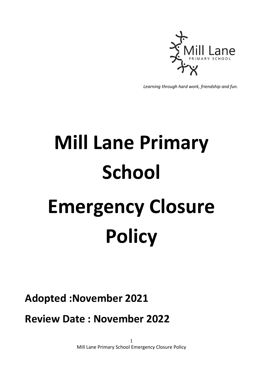

*Learning through hard work, friendship and fun.*

## **Mill Lane Primary School Emergency Closure Policy**

**Adopted :November 2021**

**Review Date : November 2022**

1 Mill Lane Primary School Emergency Closure Policy